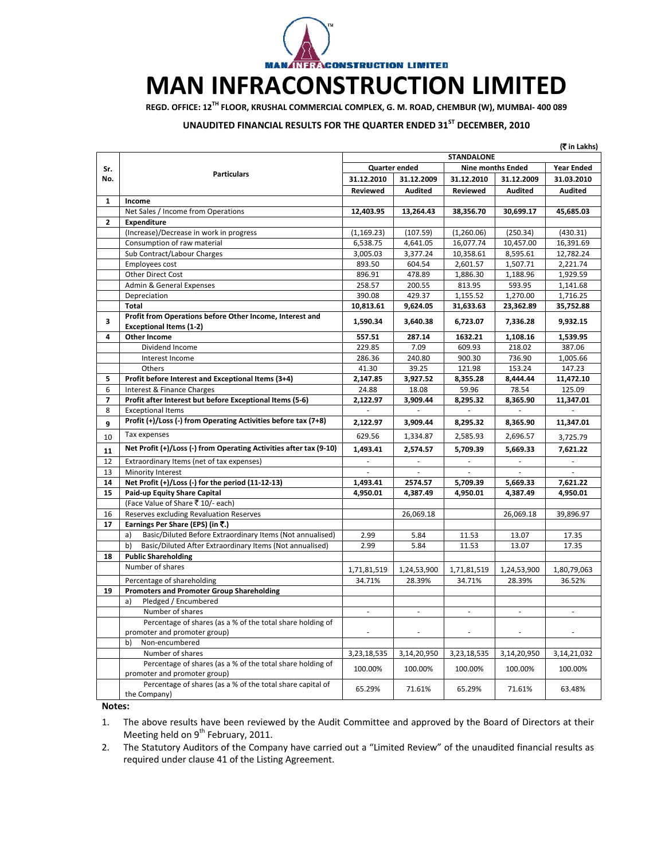

## **MAN INFRACONSTRUCTION LIMITED**

**REGD. OFFICE: 12TH FLOOR, KRUSHAL COMMERCIAL COMPLEX, G. M. ROAD, CHEMBUR (W), MUMBAI‐ 400 089**

## **UNAUDITED FINANCIAL RESULTS FOR THE QUARTER ENDED 31ST DECEMBER, 2010**

| Quarter ended<br><b>Nine months Ended</b><br><b>Year Ended</b><br>Sr.<br><b>Particulars</b><br>31.12.2010<br>31.12.2009<br>No.<br>31.12.2010<br>31.12.2009<br>31.03.2010<br><b>Audited</b><br><b>Audited</b><br><b>Audited</b><br><b>Reviewed</b><br><b>Reviewed</b><br>$\mathbf{1}$<br>Income<br>Net Sales / Income from Operations<br>12,403.95<br>13,264.43<br>38,356.70<br>30,699.17<br>45,685.03<br>$\mathbf{2}$<br>Expenditure<br>(Increase)/Decrease in work in progress<br>(1, 169.23)<br>(107.59)<br>(1,260.06)<br>(250.34)<br>(430.31)<br>16,077.74<br>Consumption of raw material<br>6,538.75<br>4,641.05<br>10,457.00<br>16,391.69<br>Sub Contract/Labour Charges<br>3,005.03<br>3,377.24<br>10,358.61<br>8,595.61<br>12,782.24<br>1,507.71<br>2,221.74<br>Employees cost<br>893.50<br>604.54<br>2,601.57<br>Other Direct Cost<br>896.91<br>478.89<br>1,886.30<br>1,188.96<br>1,929.59<br>Admin & General Expenses<br>258.57<br>200.55<br>813.95<br>593.95<br>1,141.68<br>1,270.00<br>Depreciation<br>390.08<br>429.37<br>1,155.52<br>1,716.25<br><b>Total</b><br>10,813.61<br>9,624.05<br>31,633.63<br>23,362.89<br>35,752.88<br>Profit from Operations before Other Income, Interest and<br>3<br>1,590.34<br>3,640.38<br>6,723.07<br>7,336.28<br>9,932.15<br><b>Exceptional Items (1-2)</b><br>4<br>557.51<br>287.14<br>1632.21<br>1,108.16<br>1,539.95<br><b>Other Income</b><br>Dividend Income<br>229.85<br>7.09<br>609.93<br>218.02<br>387.06<br>286.36<br>900.30<br>736.90<br>1,005.66<br>Interest Income<br>240.80<br>Others<br>41.30<br>39.25<br>121.98<br>153.24<br>147.23<br>Profit before Interest and Exceptional Items (3+4)<br>2,147.85<br>3,927.52<br>8,355.28<br>8,444.44<br>11,472.10<br>5<br>6<br>Interest & Finance Charges<br>24.88<br>18.08<br>59.96<br>78.54<br>125.09<br>7<br>Profit after Interest but before Exceptional Items (5-6)<br>2,122.97<br>3,909.44<br>8,295.32<br>8,365.90<br>11,347.01<br>8<br><b>Exceptional Items</b><br>Profit (+)/Loss (-) from Operating Activities before tax (7+8)<br>2,122.97<br>3,909.44<br>8,295.32<br>8,365.90<br>11,347.01<br>9<br>Tax expenses<br>629.56<br>2,585.93<br>1,334.87<br>2,696.57<br>10<br>3,725.79<br>Net Profit (+)/Loss (-) from Operating Activities after tax (9-10)<br>1,493.41<br>2,574.57<br>5,709.39<br>5,669.33<br>7,621.22<br>11<br>ä,<br>Extraordinary Items (net of tax expenses)<br>ä,<br>$\omega$<br>$\overline{\phantom{a}}$<br>$\overline{\phantom{a}}$<br>12<br>13<br>Minority Interest<br>$\overline{\phantom{a}}$<br>Net Profit (+)/Loss (-) for the period (11-12-13)<br>1,493.41<br>5,709.39<br>7,621.22<br>14<br>2574.57<br>5,669.33<br>15<br>Paid-up Equity Share Capital<br>4,950.01<br>4,387.49<br>4,950.01<br>4,387.49<br>4,950.01<br>(Face Value of Share ₹ 10/- each)<br>Reserves excluding Revaluation Reserves<br>26,069.18<br>26,069.18<br>39,896.97<br>16<br>17<br>Earnings Per Share (EPS) (in ₹.)<br>Basic/Diluted Before Extraordinary Items (Not annualised)<br>17.35<br>a)<br>2.99<br>5.84<br>11.53<br>13.07<br>Basic/Diluted After Extraordinary Items (Not annualised)<br>2.99<br>5.84<br>11.53<br>13.07<br>17.35<br>b)<br>18<br><b>Public Shareholding</b><br>Number of shares<br>1,71,81,519<br>1,24,53,900<br>1,71,81,519<br>1,24,53,900<br>1,80,79,063<br>Percentage of shareholding<br>34.71%<br>28.39%<br>34.71%<br>28.39%<br>36.52%<br>19<br><b>Promoters and Promoter Group Shareholding</b><br>Pledged / Encumbered<br>a)<br>Number of shares<br>$\overline{\phantom{a}}$<br>$\blacksquare$<br>$\overline{\phantom{a}}$<br>$\overline{\phantom{a}}$<br>$\blacksquare$<br>Percentage of shares (as a % of the total share holding of<br>promoter and promoter group)<br>$\overline{\phantom{a}}$<br>$\sim$<br>b)<br>Non-encumbered<br>Number of shares<br>3,23,18,535<br>3,14,20,950<br>3,23,18,535<br>3,14,20,950<br>3,14,21,032<br>Percentage of shares (as a % of the total share holding of<br>100.00%<br>100.00%<br>100.00%<br>100.00%<br>100.00%<br>promoter and promoter group)<br>Percentage of shares (as a % of the total share capital of<br>65.29%<br>71.61%<br>65.29%<br>71.61%<br>63.48%<br>the Company) | (₹ in Lakhs) |                   |  |  |  |  |
|-----------------------------------------------------------------------------------------------------------------------------------------------------------------------------------------------------------------------------------------------------------------------------------------------------------------------------------------------------------------------------------------------------------------------------------------------------------------------------------------------------------------------------------------------------------------------------------------------------------------------------------------------------------------------------------------------------------------------------------------------------------------------------------------------------------------------------------------------------------------------------------------------------------------------------------------------------------------------------------------------------------------------------------------------------------------------------------------------------------------------------------------------------------------------------------------------------------------------------------------------------------------------------------------------------------------------------------------------------------------------------------------------------------------------------------------------------------------------------------------------------------------------------------------------------------------------------------------------------------------------------------------------------------------------------------------------------------------------------------------------------------------------------------------------------------------------------------------------------------------------------------------------------------------------------------------------------------------------------------------------------------------------------------------------------------------------------------------------------------------------------------------------------------------------------------------------------------------------------------------------------------------------------------------------------------------------------------------------------------------------------------------------------------------------------------------------------------------------------------------------------------------------------------------------------------------------------------------------------------------------------------------------------------------------------------------------------------------------------------------------------------------------------------------------------------------------------------------------------------------------------------------------------------------------------------------------------------------------------------------------------------------------------------------------------------------------------------------------------------------------------------------------------------------------------------------------------------------------------------------------------------------------------------------------------------------------------------------------------------------------------------------------------------------------------------------------------------------------------------------------------------------------------------------------------------------------------------------------------------------------------------------------------------------------------------------------------------------------------------------------------------------------------------------------------------------------------------------------------------------------------------------------------------------------------------------------------------------------------------------------------------------------------------------------------------------------------------------------------------------------------------------------------------------|--------------|-------------------|--|--|--|--|
|                                                                                                                                                                                                                                                                                                                                                                                                                                                                                                                                                                                                                                                                                                                                                                                                                                                                                                                                                                                                                                                                                                                                                                                                                                                                                                                                                                                                                                                                                                                                                                                                                                                                                                                                                                                                                                                                                                                                                                                                                                                                                                                                                                                                                                                                                                                                                                                                                                                                                                                                                                                                                                                                                                                                                                                                                                                                                                                                                                                                                                                                                                                                                                                                                                                                                                                                                                                                                                                                                                                                                                                                                                                                                                                                                                                                                                                                                                                                                                                                                                                                                                                                                                 |              | <b>STANDALONE</b> |  |  |  |  |
|                                                                                                                                                                                                                                                                                                                                                                                                                                                                                                                                                                                                                                                                                                                                                                                                                                                                                                                                                                                                                                                                                                                                                                                                                                                                                                                                                                                                                                                                                                                                                                                                                                                                                                                                                                                                                                                                                                                                                                                                                                                                                                                                                                                                                                                                                                                                                                                                                                                                                                                                                                                                                                                                                                                                                                                                                                                                                                                                                                                                                                                                                                                                                                                                                                                                                                                                                                                                                                                                                                                                                                                                                                                                                                                                                                                                                                                                                                                                                                                                                                                                                                                                                                 |              |                   |  |  |  |  |
|                                                                                                                                                                                                                                                                                                                                                                                                                                                                                                                                                                                                                                                                                                                                                                                                                                                                                                                                                                                                                                                                                                                                                                                                                                                                                                                                                                                                                                                                                                                                                                                                                                                                                                                                                                                                                                                                                                                                                                                                                                                                                                                                                                                                                                                                                                                                                                                                                                                                                                                                                                                                                                                                                                                                                                                                                                                                                                                                                                                                                                                                                                                                                                                                                                                                                                                                                                                                                                                                                                                                                                                                                                                                                                                                                                                                                                                                                                                                                                                                                                                                                                                                                                 |              |                   |  |  |  |  |
|                                                                                                                                                                                                                                                                                                                                                                                                                                                                                                                                                                                                                                                                                                                                                                                                                                                                                                                                                                                                                                                                                                                                                                                                                                                                                                                                                                                                                                                                                                                                                                                                                                                                                                                                                                                                                                                                                                                                                                                                                                                                                                                                                                                                                                                                                                                                                                                                                                                                                                                                                                                                                                                                                                                                                                                                                                                                                                                                                                                                                                                                                                                                                                                                                                                                                                                                                                                                                                                                                                                                                                                                                                                                                                                                                                                                                                                                                                                                                                                                                                                                                                                                                                 |              |                   |  |  |  |  |
|                                                                                                                                                                                                                                                                                                                                                                                                                                                                                                                                                                                                                                                                                                                                                                                                                                                                                                                                                                                                                                                                                                                                                                                                                                                                                                                                                                                                                                                                                                                                                                                                                                                                                                                                                                                                                                                                                                                                                                                                                                                                                                                                                                                                                                                                                                                                                                                                                                                                                                                                                                                                                                                                                                                                                                                                                                                                                                                                                                                                                                                                                                                                                                                                                                                                                                                                                                                                                                                                                                                                                                                                                                                                                                                                                                                                                                                                                                                                                                                                                                                                                                                                                                 |              |                   |  |  |  |  |
|                                                                                                                                                                                                                                                                                                                                                                                                                                                                                                                                                                                                                                                                                                                                                                                                                                                                                                                                                                                                                                                                                                                                                                                                                                                                                                                                                                                                                                                                                                                                                                                                                                                                                                                                                                                                                                                                                                                                                                                                                                                                                                                                                                                                                                                                                                                                                                                                                                                                                                                                                                                                                                                                                                                                                                                                                                                                                                                                                                                                                                                                                                                                                                                                                                                                                                                                                                                                                                                                                                                                                                                                                                                                                                                                                                                                                                                                                                                                                                                                                                                                                                                                                                 |              |                   |  |  |  |  |
|                                                                                                                                                                                                                                                                                                                                                                                                                                                                                                                                                                                                                                                                                                                                                                                                                                                                                                                                                                                                                                                                                                                                                                                                                                                                                                                                                                                                                                                                                                                                                                                                                                                                                                                                                                                                                                                                                                                                                                                                                                                                                                                                                                                                                                                                                                                                                                                                                                                                                                                                                                                                                                                                                                                                                                                                                                                                                                                                                                                                                                                                                                                                                                                                                                                                                                                                                                                                                                                                                                                                                                                                                                                                                                                                                                                                                                                                                                                                                                                                                                                                                                                                                                 |              |                   |  |  |  |  |
|                                                                                                                                                                                                                                                                                                                                                                                                                                                                                                                                                                                                                                                                                                                                                                                                                                                                                                                                                                                                                                                                                                                                                                                                                                                                                                                                                                                                                                                                                                                                                                                                                                                                                                                                                                                                                                                                                                                                                                                                                                                                                                                                                                                                                                                                                                                                                                                                                                                                                                                                                                                                                                                                                                                                                                                                                                                                                                                                                                                                                                                                                                                                                                                                                                                                                                                                                                                                                                                                                                                                                                                                                                                                                                                                                                                                                                                                                                                                                                                                                                                                                                                                                                 |              |                   |  |  |  |  |
|                                                                                                                                                                                                                                                                                                                                                                                                                                                                                                                                                                                                                                                                                                                                                                                                                                                                                                                                                                                                                                                                                                                                                                                                                                                                                                                                                                                                                                                                                                                                                                                                                                                                                                                                                                                                                                                                                                                                                                                                                                                                                                                                                                                                                                                                                                                                                                                                                                                                                                                                                                                                                                                                                                                                                                                                                                                                                                                                                                                                                                                                                                                                                                                                                                                                                                                                                                                                                                                                                                                                                                                                                                                                                                                                                                                                                                                                                                                                                                                                                                                                                                                                                                 |              |                   |  |  |  |  |
|                                                                                                                                                                                                                                                                                                                                                                                                                                                                                                                                                                                                                                                                                                                                                                                                                                                                                                                                                                                                                                                                                                                                                                                                                                                                                                                                                                                                                                                                                                                                                                                                                                                                                                                                                                                                                                                                                                                                                                                                                                                                                                                                                                                                                                                                                                                                                                                                                                                                                                                                                                                                                                                                                                                                                                                                                                                                                                                                                                                                                                                                                                                                                                                                                                                                                                                                                                                                                                                                                                                                                                                                                                                                                                                                                                                                                                                                                                                                                                                                                                                                                                                                                                 |              |                   |  |  |  |  |
|                                                                                                                                                                                                                                                                                                                                                                                                                                                                                                                                                                                                                                                                                                                                                                                                                                                                                                                                                                                                                                                                                                                                                                                                                                                                                                                                                                                                                                                                                                                                                                                                                                                                                                                                                                                                                                                                                                                                                                                                                                                                                                                                                                                                                                                                                                                                                                                                                                                                                                                                                                                                                                                                                                                                                                                                                                                                                                                                                                                                                                                                                                                                                                                                                                                                                                                                                                                                                                                                                                                                                                                                                                                                                                                                                                                                                                                                                                                                                                                                                                                                                                                                                                 |              |                   |  |  |  |  |
|                                                                                                                                                                                                                                                                                                                                                                                                                                                                                                                                                                                                                                                                                                                                                                                                                                                                                                                                                                                                                                                                                                                                                                                                                                                                                                                                                                                                                                                                                                                                                                                                                                                                                                                                                                                                                                                                                                                                                                                                                                                                                                                                                                                                                                                                                                                                                                                                                                                                                                                                                                                                                                                                                                                                                                                                                                                                                                                                                                                                                                                                                                                                                                                                                                                                                                                                                                                                                                                                                                                                                                                                                                                                                                                                                                                                                                                                                                                                                                                                                                                                                                                                                                 |              |                   |  |  |  |  |
|                                                                                                                                                                                                                                                                                                                                                                                                                                                                                                                                                                                                                                                                                                                                                                                                                                                                                                                                                                                                                                                                                                                                                                                                                                                                                                                                                                                                                                                                                                                                                                                                                                                                                                                                                                                                                                                                                                                                                                                                                                                                                                                                                                                                                                                                                                                                                                                                                                                                                                                                                                                                                                                                                                                                                                                                                                                                                                                                                                                                                                                                                                                                                                                                                                                                                                                                                                                                                                                                                                                                                                                                                                                                                                                                                                                                                                                                                                                                                                                                                                                                                                                                                                 |              |                   |  |  |  |  |
|                                                                                                                                                                                                                                                                                                                                                                                                                                                                                                                                                                                                                                                                                                                                                                                                                                                                                                                                                                                                                                                                                                                                                                                                                                                                                                                                                                                                                                                                                                                                                                                                                                                                                                                                                                                                                                                                                                                                                                                                                                                                                                                                                                                                                                                                                                                                                                                                                                                                                                                                                                                                                                                                                                                                                                                                                                                                                                                                                                                                                                                                                                                                                                                                                                                                                                                                                                                                                                                                                                                                                                                                                                                                                                                                                                                                                                                                                                                                                                                                                                                                                                                                                                 |              |                   |  |  |  |  |
|                                                                                                                                                                                                                                                                                                                                                                                                                                                                                                                                                                                                                                                                                                                                                                                                                                                                                                                                                                                                                                                                                                                                                                                                                                                                                                                                                                                                                                                                                                                                                                                                                                                                                                                                                                                                                                                                                                                                                                                                                                                                                                                                                                                                                                                                                                                                                                                                                                                                                                                                                                                                                                                                                                                                                                                                                                                                                                                                                                                                                                                                                                                                                                                                                                                                                                                                                                                                                                                                                                                                                                                                                                                                                                                                                                                                                                                                                                                                                                                                                                                                                                                                                                 |              |                   |  |  |  |  |
|                                                                                                                                                                                                                                                                                                                                                                                                                                                                                                                                                                                                                                                                                                                                                                                                                                                                                                                                                                                                                                                                                                                                                                                                                                                                                                                                                                                                                                                                                                                                                                                                                                                                                                                                                                                                                                                                                                                                                                                                                                                                                                                                                                                                                                                                                                                                                                                                                                                                                                                                                                                                                                                                                                                                                                                                                                                                                                                                                                                                                                                                                                                                                                                                                                                                                                                                                                                                                                                                                                                                                                                                                                                                                                                                                                                                                                                                                                                                                                                                                                                                                                                                                                 |              |                   |  |  |  |  |
|                                                                                                                                                                                                                                                                                                                                                                                                                                                                                                                                                                                                                                                                                                                                                                                                                                                                                                                                                                                                                                                                                                                                                                                                                                                                                                                                                                                                                                                                                                                                                                                                                                                                                                                                                                                                                                                                                                                                                                                                                                                                                                                                                                                                                                                                                                                                                                                                                                                                                                                                                                                                                                                                                                                                                                                                                                                                                                                                                                                                                                                                                                                                                                                                                                                                                                                                                                                                                                                                                                                                                                                                                                                                                                                                                                                                                                                                                                                                                                                                                                                                                                                                                                 |              |                   |  |  |  |  |
|                                                                                                                                                                                                                                                                                                                                                                                                                                                                                                                                                                                                                                                                                                                                                                                                                                                                                                                                                                                                                                                                                                                                                                                                                                                                                                                                                                                                                                                                                                                                                                                                                                                                                                                                                                                                                                                                                                                                                                                                                                                                                                                                                                                                                                                                                                                                                                                                                                                                                                                                                                                                                                                                                                                                                                                                                                                                                                                                                                                                                                                                                                                                                                                                                                                                                                                                                                                                                                                                                                                                                                                                                                                                                                                                                                                                                                                                                                                                                                                                                                                                                                                                                                 |              |                   |  |  |  |  |
|                                                                                                                                                                                                                                                                                                                                                                                                                                                                                                                                                                                                                                                                                                                                                                                                                                                                                                                                                                                                                                                                                                                                                                                                                                                                                                                                                                                                                                                                                                                                                                                                                                                                                                                                                                                                                                                                                                                                                                                                                                                                                                                                                                                                                                                                                                                                                                                                                                                                                                                                                                                                                                                                                                                                                                                                                                                                                                                                                                                                                                                                                                                                                                                                                                                                                                                                                                                                                                                                                                                                                                                                                                                                                                                                                                                                                                                                                                                                                                                                                                                                                                                                                                 |              |                   |  |  |  |  |
|                                                                                                                                                                                                                                                                                                                                                                                                                                                                                                                                                                                                                                                                                                                                                                                                                                                                                                                                                                                                                                                                                                                                                                                                                                                                                                                                                                                                                                                                                                                                                                                                                                                                                                                                                                                                                                                                                                                                                                                                                                                                                                                                                                                                                                                                                                                                                                                                                                                                                                                                                                                                                                                                                                                                                                                                                                                                                                                                                                                                                                                                                                                                                                                                                                                                                                                                                                                                                                                                                                                                                                                                                                                                                                                                                                                                                                                                                                                                                                                                                                                                                                                                                                 |              |                   |  |  |  |  |
|                                                                                                                                                                                                                                                                                                                                                                                                                                                                                                                                                                                                                                                                                                                                                                                                                                                                                                                                                                                                                                                                                                                                                                                                                                                                                                                                                                                                                                                                                                                                                                                                                                                                                                                                                                                                                                                                                                                                                                                                                                                                                                                                                                                                                                                                                                                                                                                                                                                                                                                                                                                                                                                                                                                                                                                                                                                                                                                                                                                                                                                                                                                                                                                                                                                                                                                                                                                                                                                                                                                                                                                                                                                                                                                                                                                                                                                                                                                                                                                                                                                                                                                                                                 |              |                   |  |  |  |  |
|                                                                                                                                                                                                                                                                                                                                                                                                                                                                                                                                                                                                                                                                                                                                                                                                                                                                                                                                                                                                                                                                                                                                                                                                                                                                                                                                                                                                                                                                                                                                                                                                                                                                                                                                                                                                                                                                                                                                                                                                                                                                                                                                                                                                                                                                                                                                                                                                                                                                                                                                                                                                                                                                                                                                                                                                                                                                                                                                                                                                                                                                                                                                                                                                                                                                                                                                                                                                                                                                                                                                                                                                                                                                                                                                                                                                                                                                                                                                                                                                                                                                                                                                                                 |              |                   |  |  |  |  |
|                                                                                                                                                                                                                                                                                                                                                                                                                                                                                                                                                                                                                                                                                                                                                                                                                                                                                                                                                                                                                                                                                                                                                                                                                                                                                                                                                                                                                                                                                                                                                                                                                                                                                                                                                                                                                                                                                                                                                                                                                                                                                                                                                                                                                                                                                                                                                                                                                                                                                                                                                                                                                                                                                                                                                                                                                                                                                                                                                                                                                                                                                                                                                                                                                                                                                                                                                                                                                                                                                                                                                                                                                                                                                                                                                                                                                                                                                                                                                                                                                                                                                                                                                                 |              |                   |  |  |  |  |
|                                                                                                                                                                                                                                                                                                                                                                                                                                                                                                                                                                                                                                                                                                                                                                                                                                                                                                                                                                                                                                                                                                                                                                                                                                                                                                                                                                                                                                                                                                                                                                                                                                                                                                                                                                                                                                                                                                                                                                                                                                                                                                                                                                                                                                                                                                                                                                                                                                                                                                                                                                                                                                                                                                                                                                                                                                                                                                                                                                                                                                                                                                                                                                                                                                                                                                                                                                                                                                                                                                                                                                                                                                                                                                                                                                                                                                                                                                                                                                                                                                                                                                                                                                 |              |                   |  |  |  |  |
|                                                                                                                                                                                                                                                                                                                                                                                                                                                                                                                                                                                                                                                                                                                                                                                                                                                                                                                                                                                                                                                                                                                                                                                                                                                                                                                                                                                                                                                                                                                                                                                                                                                                                                                                                                                                                                                                                                                                                                                                                                                                                                                                                                                                                                                                                                                                                                                                                                                                                                                                                                                                                                                                                                                                                                                                                                                                                                                                                                                                                                                                                                                                                                                                                                                                                                                                                                                                                                                                                                                                                                                                                                                                                                                                                                                                                                                                                                                                                                                                                                                                                                                                                                 |              |                   |  |  |  |  |
|                                                                                                                                                                                                                                                                                                                                                                                                                                                                                                                                                                                                                                                                                                                                                                                                                                                                                                                                                                                                                                                                                                                                                                                                                                                                                                                                                                                                                                                                                                                                                                                                                                                                                                                                                                                                                                                                                                                                                                                                                                                                                                                                                                                                                                                                                                                                                                                                                                                                                                                                                                                                                                                                                                                                                                                                                                                                                                                                                                                                                                                                                                                                                                                                                                                                                                                                                                                                                                                                                                                                                                                                                                                                                                                                                                                                                                                                                                                                                                                                                                                                                                                                                                 |              |                   |  |  |  |  |
|                                                                                                                                                                                                                                                                                                                                                                                                                                                                                                                                                                                                                                                                                                                                                                                                                                                                                                                                                                                                                                                                                                                                                                                                                                                                                                                                                                                                                                                                                                                                                                                                                                                                                                                                                                                                                                                                                                                                                                                                                                                                                                                                                                                                                                                                                                                                                                                                                                                                                                                                                                                                                                                                                                                                                                                                                                                                                                                                                                                                                                                                                                                                                                                                                                                                                                                                                                                                                                                                                                                                                                                                                                                                                                                                                                                                                                                                                                                                                                                                                                                                                                                                                                 |              |                   |  |  |  |  |
|                                                                                                                                                                                                                                                                                                                                                                                                                                                                                                                                                                                                                                                                                                                                                                                                                                                                                                                                                                                                                                                                                                                                                                                                                                                                                                                                                                                                                                                                                                                                                                                                                                                                                                                                                                                                                                                                                                                                                                                                                                                                                                                                                                                                                                                                                                                                                                                                                                                                                                                                                                                                                                                                                                                                                                                                                                                                                                                                                                                                                                                                                                                                                                                                                                                                                                                                                                                                                                                                                                                                                                                                                                                                                                                                                                                                                                                                                                                                                                                                                                                                                                                                                                 |              |                   |  |  |  |  |
|                                                                                                                                                                                                                                                                                                                                                                                                                                                                                                                                                                                                                                                                                                                                                                                                                                                                                                                                                                                                                                                                                                                                                                                                                                                                                                                                                                                                                                                                                                                                                                                                                                                                                                                                                                                                                                                                                                                                                                                                                                                                                                                                                                                                                                                                                                                                                                                                                                                                                                                                                                                                                                                                                                                                                                                                                                                                                                                                                                                                                                                                                                                                                                                                                                                                                                                                                                                                                                                                                                                                                                                                                                                                                                                                                                                                                                                                                                                                                                                                                                                                                                                                                                 |              |                   |  |  |  |  |
|                                                                                                                                                                                                                                                                                                                                                                                                                                                                                                                                                                                                                                                                                                                                                                                                                                                                                                                                                                                                                                                                                                                                                                                                                                                                                                                                                                                                                                                                                                                                                                                                                                                                                                                                                                                                                                                                                                                                                                                                                                                                                                                                                                                                                                                                                                                                                                                                                                                                                                                                                                                                                                                                                                                                                                                                                                                                                                                                                                                                                                                                                                                                                                                                                                                                                                                                                                                                                                                                                                                                                                                                                                                                                                                                                                                                                                                                                                                                                                                                                                                                                                                                                                 |              |                   |  |  |  |  |
|                                                                                                                                                                                                                                                                                                                                                                                                                                                                                                                                                                                                                                                                                                                                                                                                                                                                                                                                                                                                                                                                                                                                                                                                                                                                                                                                                                                                                                                                                                                                                                                                                                                                                                                                                                                                                                                                                                                                                                                                                                                                                                                                                                                                                                                                                                                                                                                                                                                                                                                                                                                                                                                                                                                                                                                                                                                                                                                                                                                                                                                                                                                                                                                                                                                                                                                                                                                                                                                                                                                                                                                                                                                                                                                                                                                                                                                                                                                                                                                                                                                                                                                                                                 |              |                   |  |  |  |  |
|                                                                                                                                                                                                                                                                                                                                                                                                                                                                                                                                                                                                                                                                                                                                                                                                                                                                                                                                                                                                                                                                                                                                                                                                                                                                                                                                                                                                                                                                                                                                                                                                                                                                                                                                                                                                                                                                                                                                                                                                                                                                                                                                                                                                                                                                                                                                                                                                                                                                                                                                                                                                                                                                                                                                                                                                                                                                                                                                                                                                                                                                                                                                                                                                                                                                                                                                                                                                                                                                                                                                                                                                                                                                                                                                                                                                                                                                                                                                                                                                                                                                                                                                                                 |              |                   |  |  |  |  |
|                                                                                                                                                                                                                                                                                                                                                                                                                                                                                                                                                                                                                                                                                                                                                                                                                                                                                                                                                                                                                                                                                                                                                                                                                                                                                                                                                                                                                                                                                                                                                                                                                                                                                                                                                                                                                                                                                                                                                                                                                                                                                                                                                                                                                                                                                                                                                                                                                                                                                                                                                                                                                                                                                                                                                                                                                                                                                                                                                                                                                                                                                                                                                                                                                                                                                                                                                                                                                                                                                                                                                                                                                                                                                                                                                                                                                                                                                                                                                                                                                                                                                                                                                                 |              |                   |  |  |  |  |
|                                                                                                                                                                                                                                                                                                                                                                                                                                                                                                                                                                                                                                                                                                                                                                                                                                                                                                                                                                                                                                                                                                                                                                                                                                                                                                                                                                                                                                                                                                                                                                                                                                                                                                                                                                                                                                                                                                                                                                                                                                                                                                                                                                                                                                                                                                                                                                                                                                                                                                                                                                                                                                                                                                                                                                                                                                                                                                                                                                                                                                                                                                                                                                                                                                                                                                                                                                                                                                                                                                                                                                                                                                                                                                                                                                                                                                                                                                                                                                                                                                                                                                                                                                 |              |                   |  |  |  |  |
|                                                                                                                                                                                                                                                                                                                                                                                                                                                                                                                                                                                                                                                                                                                                                                                                                                                                                                                                                                                                                                                                                                                                                                                                                                                                                                                                                                                                                                                                                                                                                                                                                                                                                                                                                                                                                                                                                                                                                                                                                                                                                                                                                                                                                                                                                                                                                                                                                                                                                                                                                                                                                                                                                                                                                                                                                                                                                                                                                                                                                                                                                                                                                                                                                                                                                                                                                                                                                                                                                                                                                                                                                                                                                                                                                                                                                                                                                                                                                                                                                                                                                                                                                                 |              |                   |  |  |  |  |
|                                                                                                                                                                                                                                                                                                                                                                                                                                                                                                                                                                                                                                                                                                                                                                                                                                                                                                                                                                                                                                                                                                                                                                                                                                                                                                                                                                                                                                                                                                                                                                                                                                                                                                                                                                                                                                                                                                                                                                                                                                                                                                                                                                                                                                                                                                                                                                                                                                                                                                                                                                                                                                                                                                                                                                                                                                                                                                                                                                                                                                                                                                                                                                                                                                                                                                                                                                                                                                                                                                                                                                                                                                                                                                                                                                                                                                                                                                                                                                                                                                                                                                                                                                 |              |                   |  |  |  |  |
|                                                                                                                                                                                                                                                                                                                                                                                                                                                                                                                                                                                                                                                                                                                                                                                                                                                                                                                                                                                                                                                                                                                                                                                                                                                                                                                                                                                                                                                                                                                                                                                                                                                                                                                                                                                                                                                                                                                                                                                                                                                                                                                                                                                                                                                                                                                                                                                                                                                                                                                                                                                                                                                                                                                                                                                                                                                                                                                                                                                                                                                                                                                                                                                                                                                                                                                                                                                                                                                                                                                                                                                                                                                                                                                                                                                                                                                                                                                                                                                                                                                                                                                                                                 |              |                   |  |  |  |  |
|                                                                                                                                                                                                                                                                                                                                                                                                                                                                                                                                                                                                                                                                                                                                                                                                                                                                                                                                                                                                                                                                                                                                                                                                                                                                                                                                                                                                                                                                                                                                                                                                                                                                                                                                                                                                                                                                                                                                                                                                                                                                                                                                                                                                                                                                                                                                                                                                                                                                                                                                                                                                                                                                                                                                                                                                                                                                                                                                                                                                                                                                                                                                                                                                                                                                                                                                                                                                                                                                                                                                                                                                                                                                                                                                                                                                                                                                                                                                                                                                                                                                                                                                                                 |              |                   |  |  |  |  |
|                                                                                                                                                                                                                                                                                                                                                                                                                                                                                                                                                                                                                                                                                                                                                                                                                                                                                                                                                                                                                                                                                                                                                                                                                                                                                                                                                                                                                                                                                                                                                                                                                                                                                                                                                                                                                                                                                                                                                                                                                                                                                                                                                                                                                                                                                                                                                                                                                                                                                                                                                                                                                                                                                                                                                                                                                                                                                                                                                                                                                                                                                                                                                                                                                                                                                                                                                                                                                                                                                                                                                                                                                                                                                                                                                                                                                                                                                                                                                                                                                                                                                                                                                                 |              |                   |  |  |  |  |
|                                                                                                                                                                                                                                                                                                                                                                                                                                                                                                                                                                                                                                                                                                                                                                                                                                                                                                                                                                                                                                                                                                                                                                                                                                                                                                                                                                                                                                                                                                                                                                                                                                                                                                                                                                                                                                                                                                                                                                                                                                                                                                                                                                                                                                                                                                                                                                                                                                                                                                                                                                                                                                                                                                                                                                                                                                                                                                                                                                                                                                                                                                                                                                                                                                                                                                                                                                                                                                                                                                                                                                                                                                                                                                                                                                                                                                                                                                                                                                                                                                                                                                                                                                 |              |                   |  |  |  |  |
|                                                                                                                                                                                                                                                                                                                                                                                                                                                                                                                                                                                                                                                                                                                                                                                                                                                                                                                                                                                                                                                                                                                                                                                                                                                                                                                                                                                                                                                                                                                                                                                                                                                                                                                                                                                                                                                                                                                                                                                                                                                                                                                                                                                                                                                                                                                                                                                                                                                                                                                                                                                                                                                                                                                                                                                                                                                                                                                                                                                                                                                                                                                                                                                                                                                                                                                                                                                                                                                                                                                                                                                                                                                                                                                                                                                                                                                                                                                                                                                                                                                                                                                                                                 |              |                   |  |  |  |  |
|                                                                                                                                                                                                                                                                                                                                                                                                                                                                                                                                                                                                                                                                                                                                                                                                                                                                                                                                                                                                                                                                                                                                                                                                                                                                                                                                                                                                                                                                                                                                                                                                                                                                                                                                                                                                                                                                                                                                                                                                                                                                                                                                                                                                                                                                                                                                                                                                                                                                                                                                                                                                                                                                                                                                                                                                                                                                                                                                                                                                                                                                                                                                                                                                                                                                                                                                                                                                                                                                                                                                                                                                                                                                                                                                                                                                                                                                                                                                                                                                                                                                                                                                                                 |              |                   |  |  |  |  |
|                                                                                                                                                                                                                                                                                                                                                                                                                                                                                                                                                                                                                                                                                                                                                                                                                                                                                                                                                                                                                                                                                                                                                                                                                                                                                                                                                                                                                                                                                                                                                                                                                                                                                                                                                                                                                                                                                                                                                                                                                                                                                                                                                                                                                                                                                                                                                                                                                                                                                                                                                                                                                                                                                                                                                                                                                                                                                                                                                                                                                                                                                                                                                                                                                                                                                                                                                                                                                                                                                                                                                                                                                                                                                                                                                                                                                                                                                                                                                                                                                                                                                                                                                                 |              |                   |  |  |  |  |
|                                                                                                                                                                                                                                                                                                                                                                                                                                                                                                                                                                                                                                                                                                                                                                                                                                                                                                                                                                                                                                                                                                                                                                                                                                                                                                                                                                                                                                                                                                                                                                                                                                                                                                                                                                                                                                                                                                                                                                                                                                                                                                                                                                                                                                                                                                                                                                                                                                                                                                                                                                                                                                                                                                                                                                                                                                                                                                                                                                                                                                                                                                                                                                                                                                                                                                                                                                                                                                                                                                                                                                                                                                                                                                                                                                                                                                                                                                                                                                                                                                                                                                                                                                 |              |                   |  |  |  |  |
|                                                                                                                                                                                                                                                                                                                                                                                                                                                                                                                                                                                                                                                                                                                                                                                                                                                                                                                                                                                                                                                                                                                                                                                                                                                                                                                                                                                                                                                                                                                                                                                                                                                                                                                                                                                                                                                                                                                                                                                                                                                                                                                                                                                                                                                                                                                                                                                                                                                                                                                                                                                                                                                                                                                                                                                                                                                                                                                                                                                                                                                                                                                                                                                                                                                                                                                                                                                                                                                                                                                                                                                                                                                                                                                                                                                                                                                                                                                                                                                                                                                                                                                                                                 |              |                   |  |  |  |  |
|                                                                                                                                                                                                                                                                                                                                                                                                                                                                                                                                                                                                                                                                                                                                                                                                                                                                                                                                                                                                                                                                                                                                                                                                                                                                                                                                                                                                                                                                                                                                                                                                                                                                                                                                                                                                                                                                                                                                                                                                                                                                                                                                                                                                                                                                                                                                                                                                                                                                                                                                                                                                                                                                                                                                                                                                                                                                                                                                                                                                                                                                                                                                                                                                                                                                                                                                                                                                                                                                                                                                                                                                                                                                                                                                                                                                                                                                                                                                                                                                                                                                                                                                                                 |              |                   |  |  |  |  |
|                                                                                                                                                                                                                                                                                                                                                                                                                                                                                                                                                                                                                                                                                                                                                                                                                                                                                                                                                                                                                                                                                                                                                                                                                                                                                                                                                                                                                                                                                                                                                                                                                                                                                                                                                                                                                                                                                                                                                                                                                                                                                                                                                                                                                                                                                                                                                                                                                                                                                                                                                                                                                                                                                                                                                                                                                                                                                                                                                                                                                                                                                                                                                                                                                                                                                                                                                                                                                                                                                                                                                                                                                                                                                                                                                                                                                                                                                                                                                                                                                                                                                                                                                                 |              |                   |  |  |  |  |
|                                                                                                                                                                                                                                                                                                                                                                                                                                                                                                                                                                                                                                                                                                                                                                                                                                                                                                                                                                                                                                                                                                                                                                                                                                                                                                                                                                                                                                                                                                                                                                                                                                                                                                                                                                                                                                                                                                                                                                                                                                                                                                                                                                                                                                                                                                                                                                                                                                                                                                                                                                                                                                                                                                                                                                                                                                                                                                                                                                                                                                                                                                                                                                                                                                                                                                                                                                                                                                                                                                                                                                                                                                                                                                                                                                                                                                                                                                                                                                                                                                                                                                                                                                 |              |                   |  |  |  |  |

**Notes:** 

- 1. The above results have been reviewed by the Audit Committee and approved by the Board of Directors at their Meeting held on  $9^{th}$  February, 2011.
- 2. The Statutory Auditors of the Company have carried out a "Limited Review" of the unaudited financial results as required under clause 41 of the Listing Agreement.